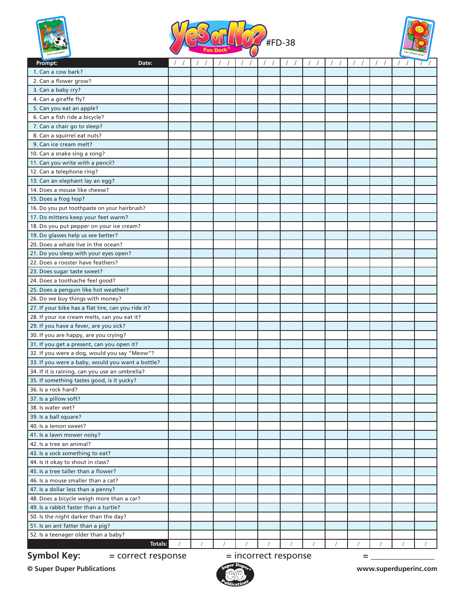





| Prompt:<br>Date:                                   |            |  |  |          |  |  |  |
|----------------------------------------------------|------------|--|--|----------|--|--|--|
| 1. Can a cow bark?                                 |            |  |  |          |  |  |  |
| 2. Can a flower grow?                              |            |  |  |          |  |  |  |
| 3. Can a baby cry?                                 |            |  |  |          |  |  |  |
| 4. Can a giraffe fly?                              |            |  |  |          |  |  |  |
| 5. Can you eat an apple?                           |            |  |  |          |  |  |  |
| 6. Can a fish ride a bicycle?                      |            |  |  |          |  |  |  |
| 7. Can a chair go to sleep?                        |            |  |  |          |  |  |  |
| 8. Can a squirrel eat nuts?                        |            |  |  |          |  |  |  |
| 9. Can ice cream melt?                             |            |  |  |          |  |  |  |
| 10. Can a snake sing a song?                       |            |  |  |          |  |  |  |
| 11. Can you write with a pencil?                   |            |  |  |          |  |  |  |
| 12. Can a telephone ring?                          |            |  |  |          |  |  |  |
| 13. Can an elephant lay an egg?                    |            |  |  |          |  |  |  |
| 14. Does a mouse like cheese?                      |            |  |  |          |  |  |  |
| 15. Does a frog hop?                               |            |  |  |          |  |  |  |
| 16. Do you put toothpaste on your hairbrush?       |            |  |  |          |  |  |  |
| 17. Do mittens keep your feet warm?                |            |  |  |          |  |  |  |
| 18. Do you put pepper on your ice cream?           |            |  |  |          |  |  |  |
| 19. Do glasses help us see better?                 |            |  |  |          |  |  |  |
| 20. Does a whale live in the ocean?                |            |  |  |          |  |  |  |
| 21. Do you sleep with your eyes open?              |            |  |  |          |  |  |  |
| 22. Does a rooster have feathers?                  |            |  |  |          |  |  |  |
| 23. Does sugar taste sweet?                        |            |  |  |          |  |  |  |
| 24. Does a toothache feel good?                    |            |  |  |          |  |  |  |
| 25. Does a penguin like hot weather?               |            |  |  |          |  |  |  |
| 26. Do we buy things with money?                   |            |  |  |          |  |  |  |
| 27. If your bike has a flat tire, can you ride it? |            |  |  |          |  |  |  |
| 28. If your ice cream melts, can you eat it?       |            |  |  |          |  |  |  |
| 29. If you have a fever, are you sick?             |            |  |  |          |  |  |  |
| 30. If you are happy, are you crying?              |            |  |  |          |  |  |  |
| 31. If you get a present, can you open it?         |            |  |  |          |  |  |  |
| 32. If you were a dog, would you say "Meow"?       |            |  |  |          |  |  |  |
| 33. If you were a baby, would you want a bottle?   |            |  |  |          |  |  |  |
| 34. If it is raining, can you use an umbrella?     |            |  |  |          |  |  |  |
| 35. If something tastes good, is it yucky?         |            |  |  |          |  |  |  |
| 36. Is a rock hard?                                |            |  |  |          |  |  |  |
| 37. Is a pillow soft?                              |            |  |  |          |  |  |  |
| 38. Is water wet?                                  |            |  |  |          |  |  |  |
| 39. Is a ball square?                              |            |  |  |          |  |  |  |
| 40. Is a lemon sweet?                              |            |  |  |          |  |  |  |
| 41. Is a lawn mower noisy?                         |            |  |  |          |  |  |  |
| 42. Is a tree an animal?                           |            |  |  |          |  |  |  |
| 43. Is a sock something to eat?                    |            |  |  |          |  |  |  |
| 44. Is it okay to shout in class?                  |            |  |  |          |  |  |  |
| 45. Is a tree taller than a flower?                |            |  |  |          |  |  |  |
| 46. Is a mouse smaller than a cat?                 |            |  |  |          |  |  |  |
| 47. Is a dollar less than a penny?                 |            |  |  |          |  |  |  |
| 48. Does a bicycle weigh more than a car?          |            |  |  |          |  |  |  |
| 49. Is a rabbit faster than a turtle?              |            |  |  |          |  |  |  |
| 50. Is the night darker than the day?              |            |  |  |          |  |  |  |
| 51. Is an ant fatter than a pig?                   |            |  |  |          |  |  |  |
| 52. Is a teenager older than a baby?               |            |  |  |          |  |  |  |
| Totals:                                            | $\sqrt{2}$ |  |  | $\prime$ |  |  |  |

**Symbol Key:**  $=$  correct response  $=$  incorrect response  $=$  \_\_\_\_\_\_\_\_\_\_\_\_\_\_\_\_\_\_\_\_

**© Super Duper Publications www.superduperinc.com**